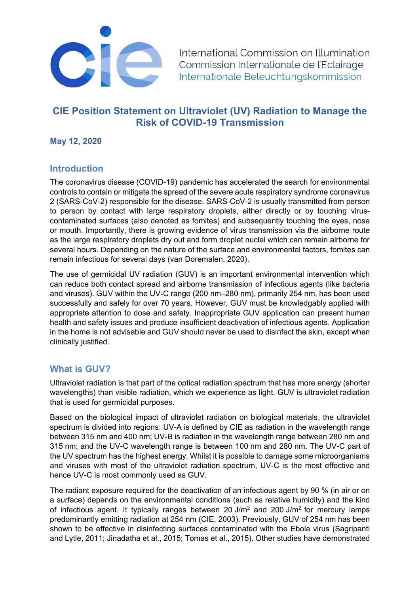

International Commission on Illumination Commission Internationale de l'Eclairage Internationale Beleuchtungskommission

# **CIE Position Statement on Ultraviolet (UV) Radiation to Manage the Risk of COVID-19 Transmission**

**May 12, 2020**

## **Introduction**

The coronavirus disease (COVID-19) pandemic has accelerated the search for environmental controls to contain or mitigate the spread of the severe acute respiratory syndrome coronavirus 2 (SARS-CoV-2) responsible for the disease. SARS-CoV-2 is usually transmitted from person to person by contact with large respiratory droplets, either directly or by touching viruscontaminated surfaces (also denoted as fomites) and subsequently touching the eyes, nose or mouth. Importantly, there is growing evidence of virus transmission via the airborne route as the large respiratory droplets dry out and form droplet nuclei which can remain airborne for several hours. Depending on the nature of the surface and environmental factors, fomites can remain infectious for several days (van Doremalen, 2020).

The use of germicidal UV radiation (GUV) is an important environmental intervention which can reduce both contact spread and airborne transmission of infectious agents (like bacteria and viruses). GUV within the UV-C range (200 nm–280 nm), primarily 254 nm, has been used successfully and safely for over 70 years. However, GUV must be knowledgably applied with appropriate attention to dose and safety. Inappropriate GUV application can present human health and safety issues and produce insufficient deactivation of infectious agents. Application in the home is not advisable and GUV should never be used to disinfect the skin, except when clinically justified.

#### **What is GUV?**

Ultraviolet radiation is that part of the optical radiation spectrum that has more energy (shorter wavelengths) than visible radiation, which we experience as light. GUV is ultraviolet radiation that is used for germicidal purposes.

Based on the biological impact of ultraviolet radiation on biological materials, the ultraviolet spectrum is divided into regions: UV-A is defined by CIE as radiation in the wavelength range between 315 nm and 400 nm; UV-B is radiation in the wavelength range between 280 nm and 315 nm; and the UV-C wavelength range is between 100 nm and 280 nm. The UV-C part of the UV spectrum has the highest energy. Whilst it is possible to damage some microorganisms and viruses with most of the ultraviolet radiation spectrum, UV-C is the most effective and hence UV-C is most commonly used as GUV.

The radiant exposure required for the deactivation of an infectious agent by 90 % (in air or on a surface) depends on the environmental conditions (such as relative humidity) and the kind of infectious agent. It typically ranges between 20 J/m<sup>2</sup> and 200 J/m<sup>2</sup> for mercury lamps predominantly emitting radiation at 254 nm (CIE, 2003). Previously, GUV of 254 nm has been shown to be effective in disinfecting surfaces contaminated with the Ebola virus (Sagripanti and Lytle, 2011; Jinadatha et al., 2015; Tomas et al., 2015). Other studies have demonstrated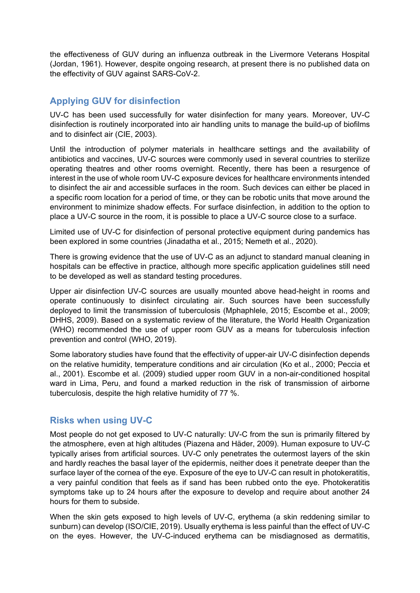the effectiveness of GUV during an influenza outbreak in the Livermore Veterans Hospital (Jordan, 1961). However, despite ongoing research, at present there is no published data on the effectivity of GUV against SARS-CoV-2.

# **Applying GUV for disinfection**

UV-C has been used successfully for water disinfection for many years. Moreover, UV-C disinfection is routinely incorporated into air handling units to manage the build-up of biofilms and to disinfect air (CIE, 2003).

Until the introduction of polymer materials in healthcare settings and the availability of antibiotics and vaccines, UV-C sources were commonly used in several countries to sterilize operating theatres and other rooms overnight. Recently, there has been a resurgence of interest in the use of whole room UV-C exposure devices for healthcare environments intended to disinfect the air and accessible surfaces in the room. Such devices can either be placed in a specific room location for a period of time, or they can be robotic units that move around the environment to minimize shadow effects. For surface disinfection, in addition to the option to place a UV-C source in the room, it is possible to place a UV-C source close to a surface.

Limited use of UV-C for disinfection of personal protective equipment during pandemics has been explored in some countries (Jinadatha et al., 2015; Nemeth et al., 2020).

There is growing evidence that the use of UV-C as an adjunct to standard manual cleaning in hospitals can be effective in practice, although more specific application guidelines still need to be developed as well as standard testing procedures.

Upper air disinfection UV-C sources are usually mounted above head-height in rooms and operate continuously to disinfect circulating air. Such sources have been successfully deployed to limit the transmission of tuberculosis (Mphaphlele, 2015; Escombe et al., 2009; DHHS, 2009). Based on a systematic review of the literature, the World Health Organization (WHO) recommended the use of upper room GUV as a means for tuberculosis infection prevention and control (WHO, 2019).

Some laboratory studies have found that the effectivity of upper-air UV-C disinfection depends on the relative humidity, temperature conditions and air circulation (Ko et al., 2000; Peccia et al., 2001). Escombe et al. (2009) studied upper room GUV in a non-air-conditioned hospital ward in Lima, Peru, and found a marked reduction in the risk of transmission of airborne tuberculosis, despite the high relative humidity of 77 %.

# **Risks when using UV-C**

Most people do not get exposed to UV-C naturally: UV-C from the sun is primarily filtered by the atmosphere, even at high altitudes (Piazena and Häder, 2009). Human exposure to UV-C typically arises from artificial sources. UV-C only penetrates the outermost layers of the skin and hardly reaches the basal layer of the epidermis, neither does it penetrate deeper than the surface layer of the cornea of the eye. Exposure of the eye to UV-C can result in photokeratitis, a very painful condition that feels as if sand has been rubbed onto the eye. Photokeratitis symptoms take up to 24 hours after the exposure to develop and require about another 24 hours for them to subside.

When the skin gets exposed to high levels of UV-C, erythema (a skin reddening similar to sunburn) can develop (ISO/CIE, 2019). Usually erythema is less painful than the effect of UV-C on the eyes. However, the UV-C-induced erythema can be misdiagnosed as dermatitis,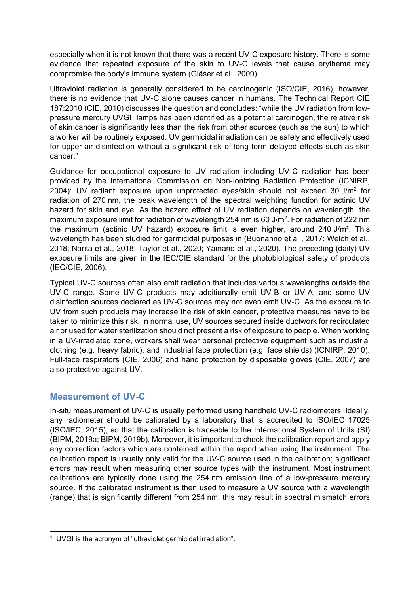especially when it is not known that there was a recent UV-C exposure history. There is some evidence that repeated exposure of the skin to UV-C levels that cause erythema may compromise the body's immune system (Gläser et al., 2009).

Ultraviolet radiation is generally considered to be carcinogenic (ISO/CIE, 2016), however, there is no evidence that UV-C alone causes cancer in humans. The Technical Report CIE 187:2010 (CIE, 2010) discusses the question and concludes: "while the UV radiation from lowpressure mercury UVGI<sup>1</sup> lamps has been identified as a potential carcinogen, the relative risk of skin cancer is significantly less than the risk from other sources (such as the sun) to which a worker will be routinely exposed. UV germicidal irradiation can be safely and effectively used for upper-air disinfection without a significant risk of long-term delayed effects such as skin cancer."

Guidance for occupational exposure to UV radiation including UV-C radiation has been provided by the International Commission on Non-Ionizing Radiation Protection (ICNIRP, 2004): UV radiant exposure upon unprotected eyes/skin should not exceed 30 J/m<sup>2</sup> for radiation of 270 nm, the peak wavelength of the spectral weighting function for actinic UV hazard for skin and eye. As the hazard effect of UV radiation depends on wavelength, the maximum exposure limit for radiation of wavelength 254 nm is 60 J/m<sup>2</sup>. For radiation of 222 nm the maximum (actinic UV hazard) exposure limit is even higher, around 240 J/m². This wavelength has been studied for germicidal purposes in (Buonanno et al., 2017; Welch et al., 2018; Narita et al., 2018; Taylor et al., 2020; Yamano et al., 2020). The preceding (daily) UV exposure limits are given in the IEC/CIE standard for the photobiological safety of products (IEC/CIE, 2006).

Typical UV-C sources often also emit radiation that includes various wavelengths outside the UV-C range. Some UV-C products may additionally emit UV-B or UV-A, and some UV disinfection sources declared as UV-C sources may not even emit UV-C. As the exposure to UV from such products may increase the risk of skin cancer, protective measures have to be taken to minimize this risk. In normal use, UV sources secured inside ductwork for recirculated air or used for water sterilization should not present a risk of exposure to people. When working in a UV-irradiated zone, workers shall wear personal protective equipment such as industrial clothing (e.g. heavy fabric), and industrial face protection (e.g. face shields) (ICNIRP, 2010). Full-face respirators (CIE, 2006) and hand protection by disposable gloves (CIE, 2007) are also protective against UV.

# **Measurement of UV-C**

1

In-situ measurement of UV-C is usually performed using handheld UV-C radiometers. Ideally, any radiometer should be calibrated by a laboratory that is accredited to ISO/IEC 17025 (ISO/IEC, 2015), so that the calibration is traceable to the International System of Units (SI) (BIPM, 2019a; BIPM, 2019b). Moreover, it is important to check the calibration report and apply any correction factors which are contained within the report when using the instrument. The calibration report is usually only valid for the UV-C source used in the calibration; significant errors may result when measuring other source types with the instrument. Most instrument calibrations are typically done using the 254 nm emission line of a low-pressure mercury source. If the calibrated instrument is then used to measure a UV source with a wavelength (range) that is significantly different from 254 nm, this may result in spectral mismatch errors

<sup>&</sup>lt;sup>1</sup> UVGI is the acronym of "ultraviolet germicidal irradiation".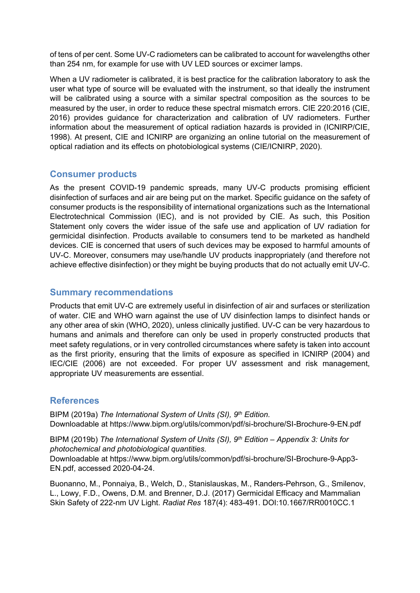of tens of per cent. Some UV-C radiometers can be calibrated to account for wavelengths other than 254 nm, for example for use with UV LED sources or excimer lamps.

When a UV radiometer is calibrated, it is best practice for the calibration laboratory to ask the user what type of source will be evaluated with the instrument, so that ideally the instrument will be calibrated using a source with a similar spectral composition as the sources to be measured by the user, in order to reduce these spectral mismatch errors. CIE 220:2016 (CIE, 2016) provides guidance for characterization and calibration of UV radiometers. Further information about the measurement of optical radiation hazards is provided in (ICNIRP/CIE, 1998). At present, CIE and ICNIRP are organizing an online tutorial on the measurement of optical radiation and its effects on photobiological systems (CIE/ICNIRP, 2020).

# **Consumer products**

As the present COVID-19 pandemic spreads, many UV-C products promising efficient disinfection of surfaces and air are being put on the market. Specific guidance on the safety of consumer products is the responsibility of international organizations such as the International Electrotechnical Commission (IEC), and is not provided by CIE. As such, this Position Statement only covers the wider issue of the safe use and application of UV radiation for germicidal disinfection. Products available to consumers tend to be marketed as handheld devices. CIE is concerned that users of such devices may be exposed to harmful amounts of UV-C. Moreover, consumers may use/handle UV products inappropriately (and therefore not achieve effective disinfection) or they might be buying products that do not actually emit UV-C.

## **Summary recommendations**

Products that emit UV-C are extremely useful in disinfection of air and surfaces or sterilization of water. CIE and WHO warn against the use of UV disinfection lamps to disinfect hands or any other area of skin (WHO, 2020), unless clinically justified. UV-C can be very hazardous to humans and animals and therefore can only be used in properly constructed products that meet safety regulations, or in very controlled circumstances where safety is taken into account as the first priority, ensuring that the limits of exposure as specified in ICNIRP (2004) and IEC/CIE (2006) are not exceeded. For proper UV assessment and risk management, appropriate UV measurements are essential.

# **References**

BIPM (2019a) *The International System of Units (SI), 9th Edition.* Downloadable at https://www.bipm.org/utils/common/pdf/si-brochure/SI-Brochure-9-EN.pdf

BIPM (2019b) *The International System of Units (SI), 9th Edition – Appendix 3: Units for photochemical and photobiological quantities.*

Downloadable at [https://www.bipm.org/utils/common/pdf/si-brochure/SI-Brochure-9-App3-](https://www.bipm.org/utils/common/pdf/si-brochure/SI-Brochure-9-App3-EN.pdf) [EN.pdf,](https://www.bipm.org/utils/common/pdf/si-brochure/SI-Brochure-9-App3-EN.pdf) accessed 2020-04-24.

Buonanno, M., Ponnaiya, B., Welch, D., Stanislauskas, M., Randers-Pehrson, G., Smilenov, L., Lowy, F.D., Owens, D.M. and Brenner, D.J. (2017) Germicidal Efficacy and Mammalian Skin Safety of 222-nm UV Light. *Radiat Res* 187(4): 483-491. DOI:10.1667/RR0010CC.1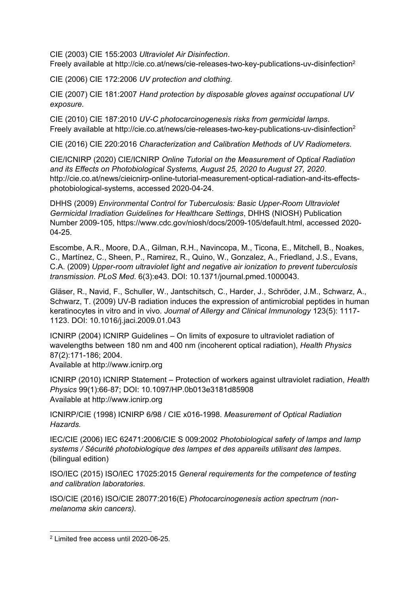CIE (2003) CIE 155:2003 *Ultraviolet Air Disinfection*.

Freely available at <http://cie.co.at/news/cie-releases-two-key-publications-uv-disinfection><sup>2</sup>

CIE (2006) CIE 172:2006 *UV protection and clothing.*

CIE (2007) CIE 181:2007 *Hand protection by disposable gloves against occupational UV exposure.*

CIE (2010) CIE 187:2010 *UV-C photocarcinogenesis risks from germicidal lamps*. Freely available at<http://cie.co.at/news/cie-releases-two-key-publications-uv-disinfection><sup>2</sup>

CIE (2016) CIE 220:2016 *Characterization and Calibration Methods of UV Radiometers.*

CIE/ICNIRP (2020) CIE/ICNIRP *Online Tutorial on the Measurement of Optical Radiation and its Effects on Photobiological Systems, August 25, 2020 to August 27, 2020*. [http://cie.co.at/news/cieicnirp-online-tutorial-measurement-optical-radiation-and-its-effects](http://cie.co.at/news/cieicnirp-online-tutorial-measurement-optical-radiation-and-its-effects-photobiological-systems)[photobiological-systems,](http://cie.co.at/news/cieicnirp-online-tutorial-measurement-optical-radiation-and-its-effects-photobiological-systems) accessed 2020-04-24.

DHHS (2009) *Environmental Control for Tuberculosis: Basic Upper-Room Ultraviolet Germicidal Irradiation Guidelines for Healthcare Settings*, DHHS (NIOSH) Publication Number 2009-105, [https://www.cdc.gov/niosh/docs/2009-105/default.html,](https://www.cdc.gov/niosh/docs/2009-105/default.html) accessed 2020- 04-25.

Escombe, A.R., Moore, D.A., Gilman, R.H., Navincopa, M., Ticona, E., Mitchell, B., Noakes, C., Martínez, C., Sheen, P., Ramirez, R., Quino, W., Gonzalez, A., Friedland, J.S., Evans, C.A. (2009) *Upper-room ultraviolet light and negative air ionization to prevent tuberculosis transmission*. *PLoS Med*. 6(3):e43. DOI: 10.1371/journal.pmed.1000043.

Gläser, R., Navid, F., Schuller, W., Jantschitsch, C., Harder, J., Schröder, J.M., Schwarz, A., Schwarz, T. (2009) UV-B radiation induces the expression of antimicrobial peptides in human keratinocytes in vitro and in vivo. *Journal of Allergy and Clinical Immunology* 123(5): 1117- 1123. DOI: 10.1016/j.jaci.2009.01.043

ICNIRP (2004) ICNIRP Guidelines – On limits of exposure to ultraviolet radiation of wavelengths between 180 nm and 400 nm (incoherent optical radiation), *Health Physics* 87(2):171-186; 2004.

Available at [http://www.icnirp.org](http://www.icnirp.de/)

ICNIRP (2010) ICNIRP Statement – Protection of workers against ultraviolet radiation, *Health Physics* 99(1):66‐87; DOI: 10.1097/HP.0b013e3181d85908 Available at [http://www.icnirp.org](http://www.icnirp.de/)

ICNIRP/CIE (1998) ICNIRP 6/98 / CIE x016-1998. *Measurement of Optical Radiation Hazards.* 

IEC/CIE (2006) IEC 62471:2006/CIE S 009:2002 *Photobiological safety of lamps and lamp systems / Sécurité photobiologique des lampes et des appareils utilisant des lampes.* (bilingual edition)

ISO/IEC (2015) ISO/IEC 17025:2015 *General requirements for the competence of testing and calibration laboratories.*

ISO/CIE (2016) ISO/CIE 28077:2016(E) *Photocarcinogenesis action spectrum (nonmelanoma skin cancers).*

1

<sup>2</sup> Limited free access until 2020-06-25.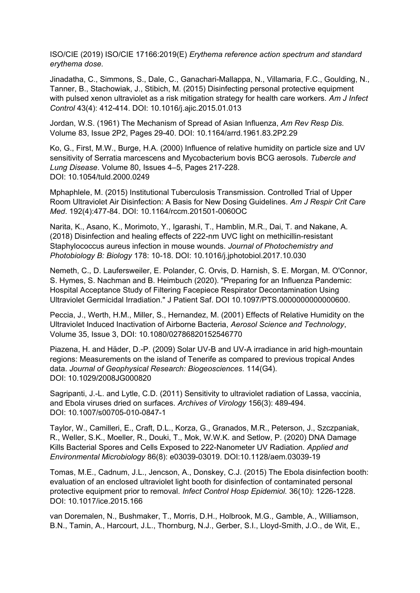ISO/CIE (2019) ISO/CIE 17166:2019(E) *Erythema reference action spectrum and standard erythema dose.*

Jinadatha, C., Simmons, S., Dale, C., Ganachari-Mallappa, N., Villamaria, F.C., Goulding, N., Tanner, B., Stachowiak, J., Stibich, M. (2015) Disinfecting personal protective equipment with pulsed xenon ultraviolet as a risk mitigation strategy for health care workers. *Am J Infect Control* 43(4): 412-414. DOI: 10.1016/j.ajic.2015.01.013

Jordan, W.S. (1961) The Mechanism of Spread of Asian Influenza, *Am Rev Resp Dis.*  Volume 83, Issue 2P2, Pages 29-40. DOI: 10.1164/arrd.1961.83.2P2.29

Ko, G., First, M.W., Burge, H.A. (2000) Influence of relative humidity on particle size and UV sensitivity of Serratia marcescens and Mycobacterium bovis BCG aerosols. *Tubercle and Lung Disease*. Volume 80, Issues 4–5, Pages 217-228. [DOI: 10.1054/tuld.2000.0249](https://doi.org/10.1054/tuld.2000.0249)

Mphaphlele, M. (2015) Institutional Tuberculosis Transmission. Controlled Trial of Upper Room Ultraviolet Air Disinfection: A Basis for New Dosing Guidelines*. Am J Respir Crit Care Med*. 192(4):477-84. DOI: 10.1164/rccm.201501-0060OC

Narita, K., Asano, K., Morimoto, Y., Igarashi, T., Hamblin, M.R., Dai, T. and Nakane, A. (2018) Disinfection and healing effects of 222-nm UVC light on methicillin-resistant Staphylococcus aureus infection in mouse wounds. *Journal of Photochemistry and Photobiology B: Biology* 178: 10-18. DOI: 10.1016/j.jphotobiol.2017.10.030

Nemeth, C., D. Laufersweiler, E. Polander, C. Orvis, D. Harnish, S. E. Morgan, M. O'Connor, S. Hymes, S. Nachman and B. Heimbuch (2020). "Preparing for an Influenza Pandemic: Hospital Acceptance Study of Filtering Facepiece Respirator Decontamination Using Ultraviolet Germicidal Irradiation." J Patient Saf. DOI 10.1097/PTS.0000000000000600.

Peccia, J., Werth, H.M., Miller, S., Hernandez, M. (2001) Effects of Relative Humidity on the Ultraviolet Induced Inactivation of Airborne Bacteria, *Aerosol Science and Technology*, Volume 35, Issue 3, [DOI: 10.1080/02786820152546770](https://doi.org/10.1080/02786820152546770)

Piazena, H. and Häder, D.-P. (2009) Solar UV-B and UV-A irradiance in arid high-mountain regions: Measurements on the island of Tenerife as compared to previous tropical Andes data. *Journal of Geophysical Research: Biogeosciences.* 114(G4). DOI: 10.1029/2008JG000820

Sagripanti, J.-L. and Lytle, C.D. (2011) Sensitivity to ultraviolet radiation of Lassa, vaccinia, and Ebola viruses dried on surfaces. *Archives of Virology* 156(3): 489-494. DOI: 10.1007/s00705-010-0847-1

Taylor, W., Camilleri, E., Craft, D.L., Korza, G., Granados, M.R., Peterson, J., Szczpaniak, R., Weller, S.K., Moeller, R., Douki, T., Mok, W.W.K. and Setlow, P. (2020) DNA Damage Kills Bacterial Spores and Cells Exposed to 222-Nanometer UV Radiation. *Applied and Environmental Microbiology* 86(8): e03039-03019. DOI:10.1128/aem.03039-19

Tomas, M.E., Cadnum, J.L., Jencson, A., Donskey, C.J. (2015) The Ebola disinfection booth: evaluation of an enclosed ultraviolet light booth for disinfection of contaminated personal protective equipment prior to removal. *Infect Control Hosp Epidemiol.* 36(10): 1226-1228. DOI: 10.1017/ice.2015.166

van Doremalen, N., Bushmaker, T., Morris, D.H., Holbrook, M.G., Gamble, A., Williamson, B.N., Tamin, A., Harcourt, J.L., Thornburg, N.J., Gerber, S.I., Lloyd-Smith, J.O., de Wit, E.,